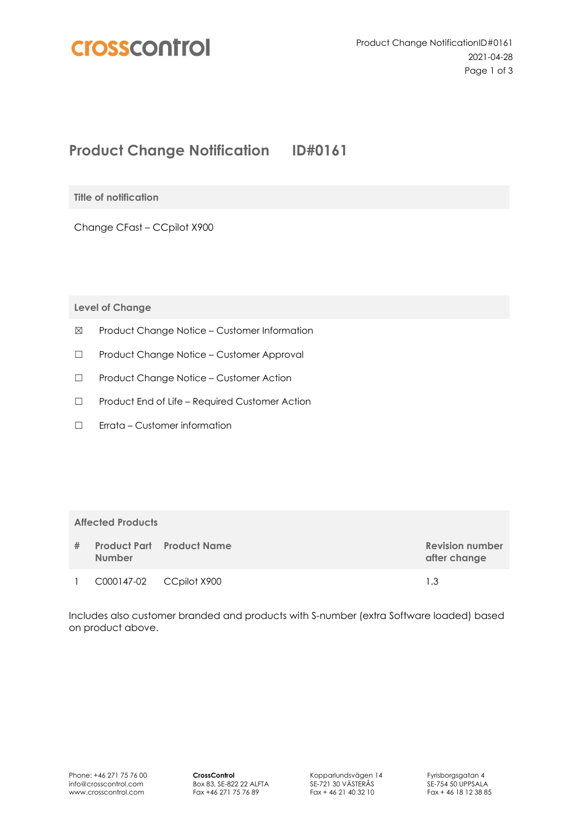

## **Product Change Notification ID#0161**

**Title of notification**

Change CFast – CCpilot X900

**Level of Change**

- ☒ Product Change Notice Customer Information
- ☐ Product Change Notice Customer Approval
- ☐ Product Change Notice Customer Action
- ☐ Product End of Life Required Customer Action
- ☐ Errata Customer information

| <b>Affected Products</b> |               |                                  |                                        |  |
|--------------------------|---------------|----------------------------------|----------------------------------------|--|
| #                        | <b>Number</b> | <b>Product Part Product Name</b> | <b>Revision number</b><br>after change |  |
|                          |               | C000147-02 CCpilot X900          | 1.3                                    |  |

Includes also customer branded and products with S-number (extra Software loaded) based on product above.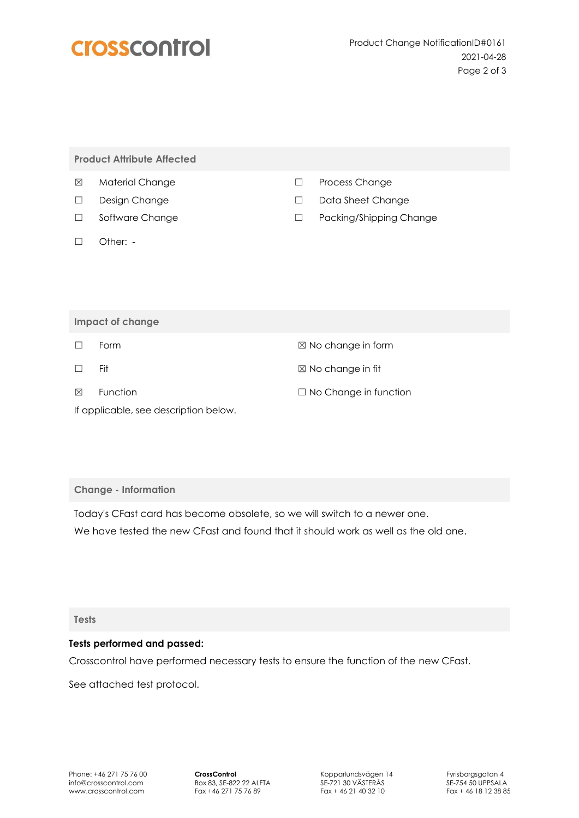

**Product Attribute Affected**

- ☒ Material Change
- □ Design Change
- □ Software Change
- ☐ Other: -
- ☐ Process Change
- □ Data Sheet Change
- □ Packing/Shipping Change

| <b>Impact of change</b>               |          |                               |  |  |
|---------------------------------------|----------|-------------------------------|--|--|
|                                       | Form     | $\boxtimes$ No change in form |  |  |
|                                       | Fit      | $\boxtimes$ No change in fit  |  |  |
| ⊠                                     | Function | $\Box$ No Change in function  |  |  |
| If applicable, see description below. |          |                               |  |  |

## **Change - Information**

Today's CFast card has become obsolete, so we will switch to a newer one. We have tested the new CFast and found that it should work as well as the old one.

**Tests**

## **Tests performed and passed:**

Crosscontrol have performed necessary tests to ensure the function of the new CFast.

See attached test protocol.